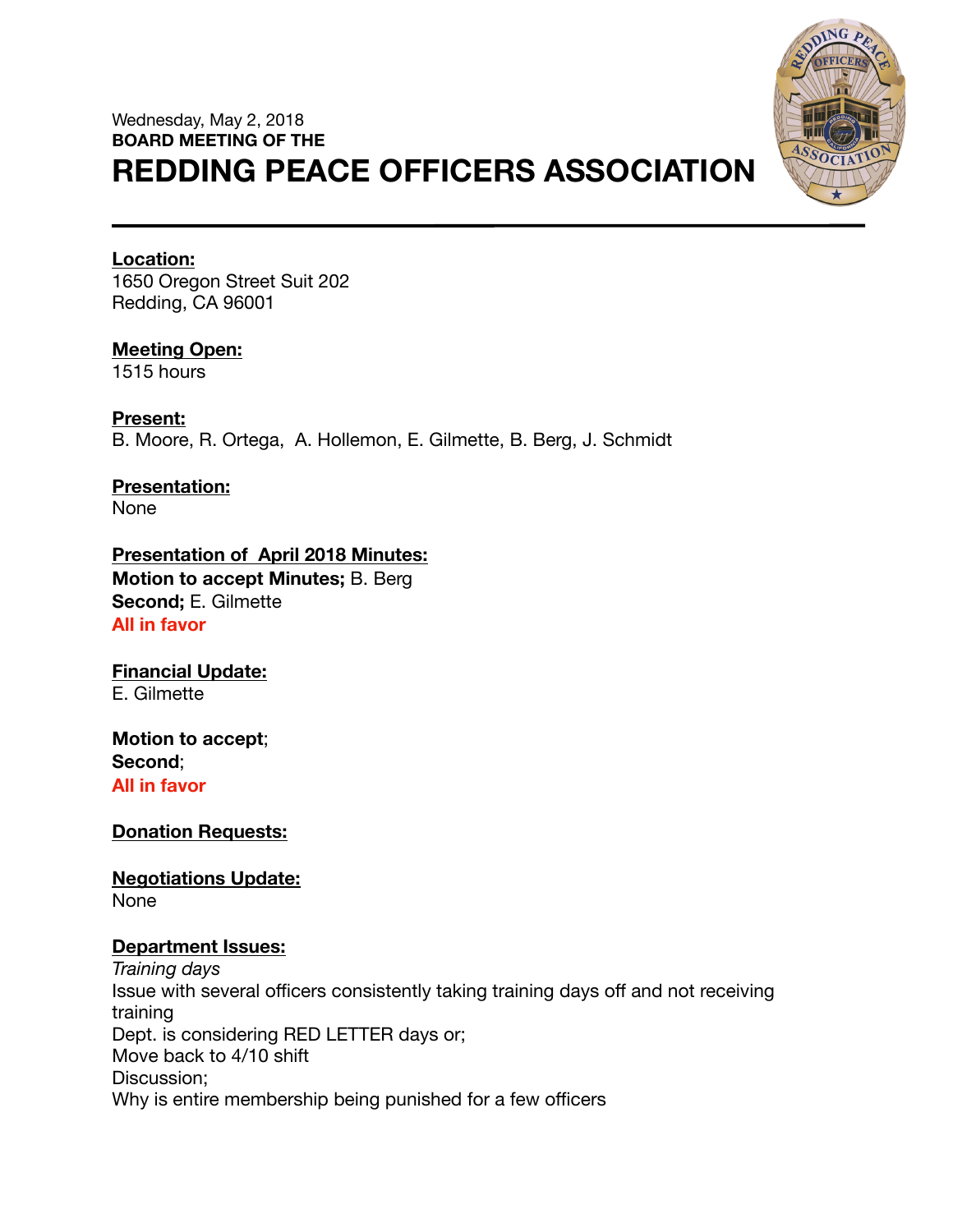# Wednesday, May 2, 2018 **BOARD MEETING OF THE REDDING PEACE OFFICERS ASSOCIATION**



#### **Location:**

1650 Oregon Street Suit 202 Redding, CA 96001

# **Meeting Open:**

1515 hours

**Present:**  B. Moore, R. Ortega, A. Hollemon, E. Gilmette, B. Berg, J. Schmidt

**Presentation:**  None

**Presentation of April 2018 Minutes: Motion to accept Minutes;** B. Berg **Second;** E. Gilmette **All in favor** 

**Financial Update:**  E. Gilmette

**Motion to accept**; **Second**; **All in favor** 

**Donation Requests:** 

**Negotiations Update:**  None

## **Department Issues:**

*Training days*  Issue with several officers consistently taking training days off and not receiving training Dept. is considering RED LETTER days or; Move back to 4/10 shift Discussion; Why is entire membership being punished for a few officers